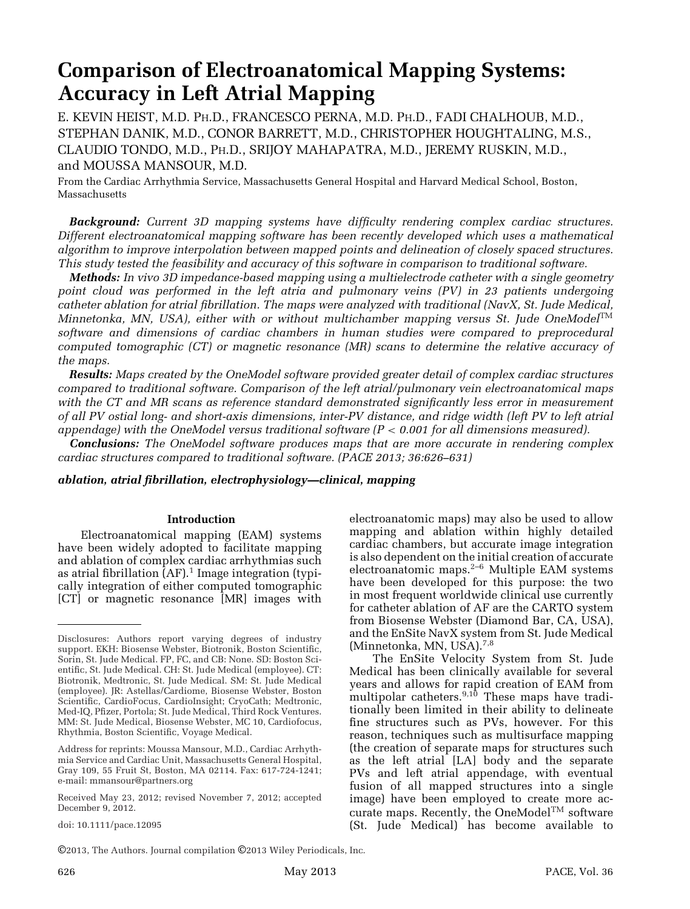# **Comparison of Electroanatomical Mapping Systems: Accuracy in Left Atrial Mapping**

E. KEVIN HEIST, M.D. PH.D., FRANCESCO PERNA, M.D. PH.D., FADI CHALHOUB, M.D., STEPHAN DANIK, M.D., CONOR BARRETT, M.D., CHRISTOPHER HOUGHTALING, M.S., CLAUDIO TONDO, M.D., PH.D., SRIJOY MAHAPATRA, M.D., JEREMY RUSKIN, M.D., and MOUSSA MANSOUR, M.D.

From the Cardiac Arrhythmia Service, Massachusetts General Hospital and Harvard Medical School, Boston, Massachusetts

*Background: Current 3D mapping systems have difficulty rendering complex cardiac structures. Different electroanatomical mapping software has been recently developed which uses a mathematical algorithm to improve interpolation between mapped points and delineation of closely spaced structures. This study tested the feasibility and accuracy of this software in comparison to traditional software.*

*Methods: In vivo 3D impedance-based mapping using a multielectrode catheter with a single geometry point cloud was performed in the left atria and pulmonary veins (PV) in 23 patients undergoing catheter ablation for atrial fibrillation. The maps were analyzed with traditional (NavX, St. Jude Medical, Minnetonka, MN, USA), either with or without multichamber mapping versus St. Jude OneModel*TM *software and dimensions of cardiac chambers in human studies were compared to preprocedural computed tomographic (CT) or magnetic resonance (MR) scans to determine the relative accuracy of the maps.*

*Results: Maps created by the OneModel software provided greater detail of complex cardiac structures compared to traditional software. Comparison of the left atrial/pulmonary vein electroanatomical maps with the CT and MR scans as reference standard demonstrated significantly less error in measurement of all PV ostial long- and short-axis dimensions, inter-PV distance, and ridge width (left PV to left atrial appendage) with the OneModel versus traditional software (P* < *0.001 for all dimensions measured).*

*Conclusions: The OneModel software produces maps that are more accurate in rendering complex cardiac structures compared to traditional software. (PACE 2013; 36:626–631)*

## *ablation, atrial fibrillation, electrophysiology—clinical, mapping*

## **Introduction**

Electroanatomical mapping (EAM) systems have been widely adopted to facilitate mapping and ablation of complex cardiac arrhythmias such as atrial fibrillation  $[AF]$ .<sup>1</sup> Image integration (typically integration of either computed tomographic [CT] or magnetic resonance [MR] images with

doi: 10.1111/pace.12095

electroanatomic maps) may also be used to allow mapping and ablation within highly detailed cardiac chambers, but accurate image integration is also dependent on the initial creation of accurate electroanatomic maps.2–6 Multiple EAM systems have been developed for this purpose: the two in most frequent worldwide clinical use currently for catheter ablation of AF are the CARTO system from Biosense Webster (Diamond Bar, CA, USA), and the EnSite NavX system from St. Jude Medical (Minnetonka, MN, USA).7,8

The EnSite Velocity System from St. Jude Medical has been clinically available for several years and allows for rapid creation of EAM from multipolar catheters.<sup>9,10</sup> These maps have traditionally been limited in their ability to delineate fine structures such as PVs, however. For this reason, techniques such as multisurface mapping (the creation of separate maps for structures such as the left atrial [LA] body and the separate PVs and left atrial appendage, with eventual fusion of all mapped structures into a single image) have been employed to create more accurate maps. Recently, the OneModelTM software (St. Jude Medical) has become available to

©2013, The Authors. Journal compilation ©2013 Wiley Periodicals, Inc.

Disclosures: Authors report varying degrees of industry support. EKH: Biosense Webster, Biotronik, Boston Scientific, Sorin, St. Jude Medical. FP, FC, and CB: None. SD: Boston Scientific, St. Jude Medical. CH: St. Jude Medical (employee). CT: Biotronik, Medtronic, St. Jude Medical. SM: St. Jude Medical (employee). JR: Astellas/Cardiome, Biosense Webster, Boston Scientific, CardioFocus, CardioInsight; CryoCath; Medtronic, Med-IQ, Pfizer, Portola; St. Jude Medical, Third Rock Ventures. MM: St. Jude Medical, Biosense Webster, MC 10, Cardiofocus, Rhythmia, Boston Scientific, Voyage Medical.

Address for reprints: Moussa Mansour, M.D., Cardiac Arrhythmia Service and Cardiac Unit, Massachusetts General Hospital, Gray 109, 55 Fruit St, Boston, MA 02114. Fax: 617-724-1241; e-mail: mmansour@partners.org

Received May 23, 2012; revised November 7, 2012; accepted December 9, 2012.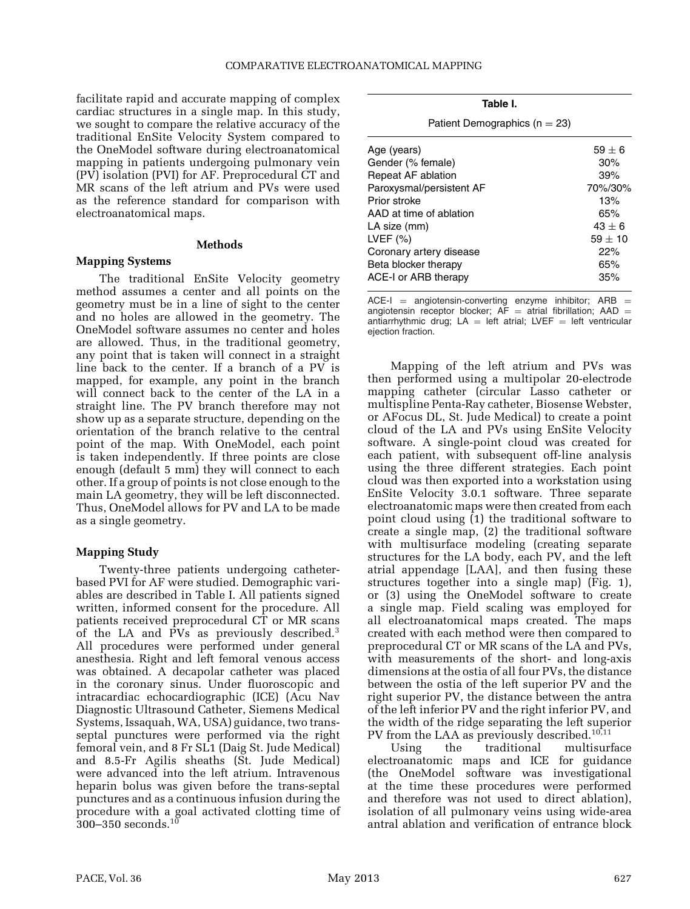facilitate rapid and accurate mapping of complex cardiac structures in a single map. In this study, we sought to compare the relative accuracy of the traditional EnSite Velocity System compared to the OneModel software during electroanatomical mapping in patients undergoing pulmonary vein (PV) isolation (PVI) for AF. Preprocedural CT and MR scans of the left atrium and PVs were used as the reference standard for comparison with electroanatomical maps.

## **Methods**

## **Mapping Systems**

The traditional EnSite Velocity geometry method assumes a center and all points on the geometry must be in a line of sight to the center and no holes are allowed in the geometry. The OneModel software assumes no center and holes are allowed. Thus, in the traditional geometry, any point that is taken will connect in a straight line back to the center. If a branch of a PV is mapped, for example, any point in the branch will connect back to the center of the LA in a straight line. The PV branch therefore may not show up as a separate structure, depending on the orientation of the branch relative to the central point of the map. With OneModel, each point is taken independently. If three points are close enough (default 5 mm) they will connect to each other. If a group of points is not close enough to the main LA geometry, they will be left disconnected. Thus, OneModel allows for PV and LA to be made as a single geometry.

# **Mapping Study**

Twenty-three patients undergoing catheterbased PVI for AF were studied. Demographic variables are described in Table I. All patients signed written, informed consent for the procedure. All patients received preprocedural CT or MR scans of the LA and PVs as previously described.<sup>3</sup> All procedures were performed under general anesthesia. Right and left femoral venous access was obtained. A decapolar catheter was placed in the coronary sinus. Under fluoroscopic and intracardiac echocardiographic (ICE) (Acu Nav Diagnostic Ultrasound Catheter, Siemens Medical Systems, Issaquah, WA, USA) guidance, two transseptal punctures were performed via the right femoral vein, and 8 Fr SL1 (Daig St. Jude Medical) and 8.5-Fr Agilis sheaths (St. Jude Medical) were advanced into the left atrium. Intravenous heparin bolus was given before the trans-septal punctures and as a continuous infusion during the procedure with a goal activated clotting time of 300–350 seconds.<sup>10</sup>

| Table I.                          |             |  |  |
|-----------------------------------|-------------|--|--|
| Patient Demographics ( $n = 23$ ) |             |  |  |
| Age (years)                       | $59 \pm 6$  |  |  |
| Gender (% female)                 | 30%         |  |  |
| Repeat AF ablation                | 39%         |  |  |
| Paroxysmal/persistent AF          | 70%/30%     |  |  |
| Prior stroke                      | 13%         |  |  |
| AAD at time of ablation           | 65%         |  |  |
| LA size (mm)                      | $43 \pm 6$  |  |  |
| LVEF $(%)$                        | $59 \pm 10$ |  |  |
| Coronary artery disease           | 22%         |  |  |

 $ACE-I$  = angiotensin-converting enzyme inhibitor;  $ARB$  = angiotensin receptor blocker;  $AF =$  atrial fibrillation;  $AAD =$ antiarrhythmic drug;  $LA =$  left atrial; LVEF = left ventricular ejection fraction.

Beta blocker therapy 65% ACE-I or ARB therapy 35%

Mapping of the left atrium and PVs was then performed using a multipolar 20-electrode mapping catheter (circular Lasso catheter or multispline Penta-Ray catheter, Biosense Webster, or AFocus DL, St. Jude Medical) to create a point cloud of the LA and PVs using EnSite Velocity software. A single-point cloud was created for each patient, with subsequent off-line analysis using the three different strategies. Each point cloud was then exported into a workstation using EnSite Velocity 3.0.1 software. Three separate electroanatomic maps were then created from each point cloud using (1) the traditional software to create a single map, (2) the traditional software with multisurface modeling (creating separate structures for the LA body, each PV, and the left atrial appendage [LAA], and then fusing these structures together into a single map) (Fig. 1), or (3) using the OneModel software to create a single map. Field scaling was employed for all electroanatomical maps created. The maps created with each method were then compared to preprocedural CT or MR scans of the LA and PVs, with measurements of the short- and long-axis dimensions at the ostia of all four PVs, the distance between the ostia of the left superior PV and the right superior PV, the distance between the antra of the left inferior PV and the right inferior PV, and the width of the ridge separating the left superior PV from the LAA as previously described.<sup>10,11</sup>

Using the traditional multisurface electroanatomic maps and ICE for guidance (the OneModel software was investigational at the time these procedures were performed and therefore was not used to direct ablation), isolation of all pulmonary veins using wide-area antral ablation and verification of entrance block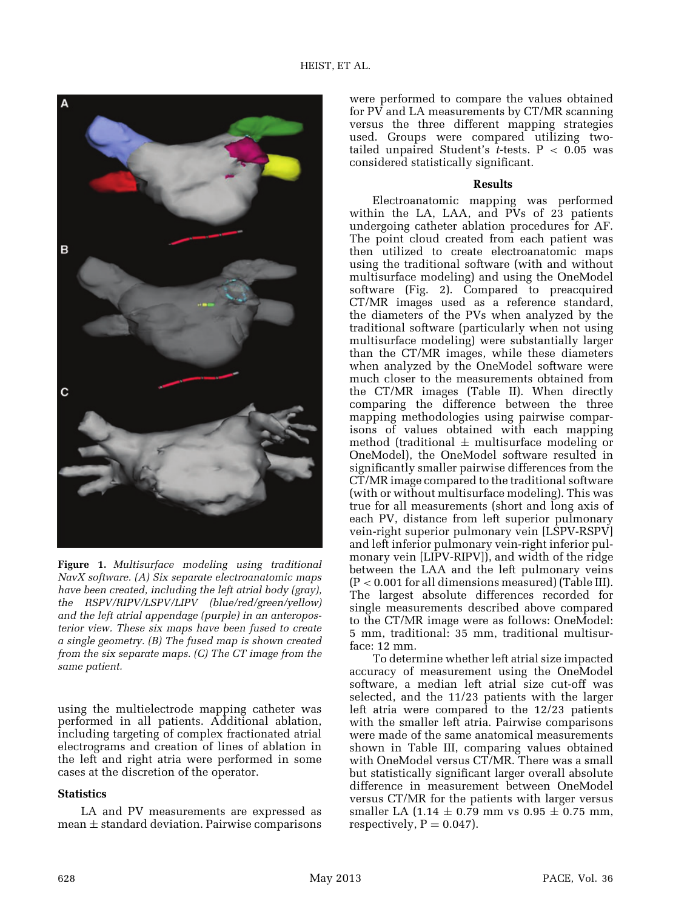

**Figure 1.** *Multisurface modeling using traditional NavX software. (A) Six separate electroanatomic maps have been created, including the left atrial body (gray), the RSPV/RIPV/LSPV/LIPV (blue/red/green/yellow) and the left atrial appendage (purple) in an anteroposterior view. These six maps have been fused to create a single geometry. (B) The fused map is shown created from the six separate maps. (C) The CT image from the same patient.*

using the multielectrode mapping catheter was performed in all patients. Additional ablation, including targeting of complex fractionated atrial electrograms and creation of lines of ablation in the left and right atria were performed in some cases at the discretion of the operator.

## **Statistics**

LA and PV measurements are expressed as  $mean \pm standard$  deviation. Pairwise comparisons were performed to compare the values obtained for PV and LA measurements by CT/MR scanning versus the three different mapping strategies used. Groups were compared utilizing twotailed unpaired Student's *t*-tests. P < 0.05 was considered statistically significant.

#### **Results**

Electroanatomic mapping was performed within the LA, LAA, and PVs of 23 patients undergoing catheter ablation procedures for AF. The point cloud created from each patient was then utilized to create electroanatomic maps using the traditional software (with and without multisurface modeling) and using the OneModel software (Fig. 2). Compared to preacquired CT/MR images used as a reference standard, the diameters of the PVs when analyzed by the traditional software (particularly when not using multisurface modeling) were substantially larger than the CT/MR images, while these diameters when analyzed by the OneModel software were much closer to the measurements obtained from the CT/MR images (Table II). When directly comparing the difference between the three mapping methodologies using pairwise comparisons of values obtained with each mapping method (traditional  $\pm$  multisurface modeling or OneModel), the OneModel software resulted in significantly smaller pairwise differences from the CT/MR image compared to the traditional software (with or without multisurface modeling). This was true for all measurements (short and long axis of each PV, distance from left superior pulmonary vein-right superior pulmonary vein [LSPV-RSPV] and left inferior pulmonary vein-right inferior pulmonary vein [LIPV-RIPV]), and width of the ridge between the LAA and the left pulmonary veins (P < 0.001 for all dimensions measured) (Table III). The largest absolute differences recorded for single measurements described above compared to the CT/MR image were as follows: OneModel: 5 mm, traditional: 35 mm, traditional multisurface: 12 mm.

To determine whether left atrial size impacted accuracy of measurement using the OneModel software, a median left atrial size cut-off was selected, and the 11/23 patients with the larger left atria were compared to the 12/23 patients with the smaller left atria. Pairwise comparisons were made of the same anatomical measurements shown in Table III, comparing values obtained with OneModel versus CT/MR. There was a small but statistically significant larger overall absolute difference in measurement between OneModel versus CT/MR for the patients with larger versus smaller LA (1.14  $\pm$  0.79 mm vs 0.95  $\pm$  0.75 mm, respectively,  $P = 0.047$ .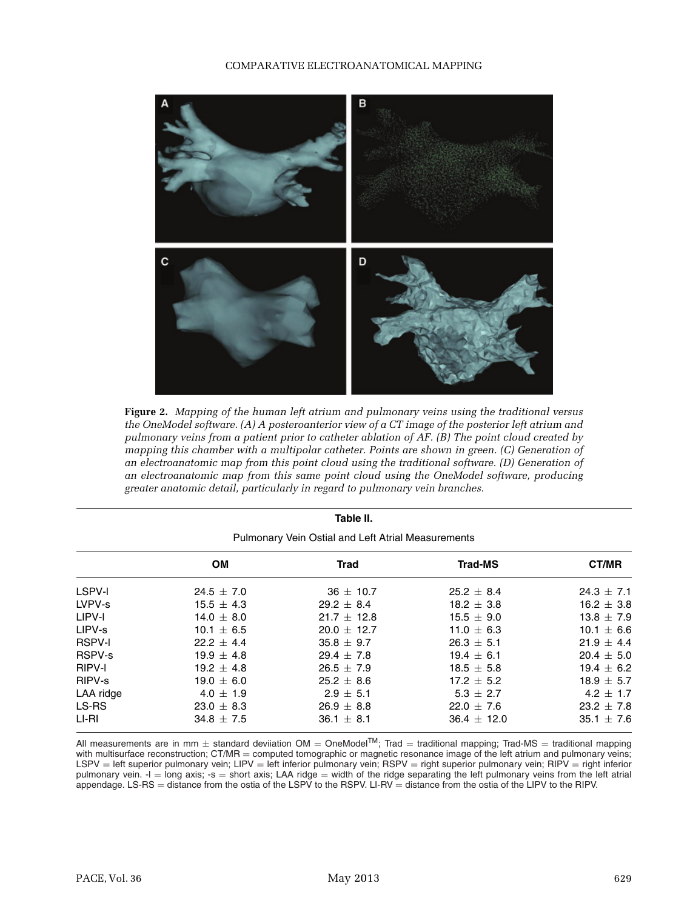## COMPARATIVE ELECTROANATOMICAL MAPPING



**Figure 2.** *Mapping of the human left atrium and pulmonary veins using the traditional versus the OneModel software. (A) A posteroanterior view of a CT image of the posterior left atrium and pulmonary veins from a patient prior to catheter ablation of AF. (B) The point cloud created by mapping this chamber with a multipolar catheter. Points are shown in green. (C) Generation of an electroanatomic map from this point cloud using the traditional software. (D) Generation of an electroanatomic map from this same point cloud using the OneModel software, producing greater anatomic detail, particularly in regard to pulmonary vein branches.*

## **Table II.**

Pulmonary Vein Ostial and Left Atrial Measurements

|               | <b>OM</b>      | <b>Trad</b>     | <b>Trad-MS</b>  | CT/MR          |  |
|---------------|----------------|-----------------|-----------------|----------------|--|
| LSPV-I        | $24.5 \pm 7.0$ | $36 \pm 10.7$   | $25.2 \pm 8.4$  | $24.3 \pm 7.1$ |  |
| LVPV-s        | $15.5 \pm 4.3$ | $29.2 \pm 8.4$  | $18.2 \pm 3.8$  | $16.2 \pm 3.8$ |  |
| LIPV-I        | $14.0 \pm 8.0$ | $21.7 \pm 12.8$ | $15.5 \pm 9.0$  | $13.8 \pm 7.9$ |  |
| LIPV-s        | $10.1 \pm 6.5$ | $20.0 \pm 12.7$ | 11.0 $\pm$ 6.3  | $10.1 \pm 6.6$ |  |
| <b>RSPV-I</b> | $22.2 \pm 4.4$ | $35.8 \pm 9.7$  | $26.3 \pm 5.1$  | $21.9 \pm 4.4$ |  |
| <b>RSPV-s</b> | $19.9 \pm 4.8$ | $29.4 \pm 7.8$  | $19.4 \pm 6.1$  | $20.4 \pm 5.0$ |  |
| RIPV-I        | $19.2 \pm 4.8$ | $26.5 \pm 7.9$  | $18.5 \pm 5.8$  | $19.4 \pm 6.2$ |  |
| RIPV-s        | $19.0 \pm 6.0$ | $25.2 \pm 8.6$  | $17.2 \pm 5.2$  | $18.9 \pm 5.7$ |  |
| LAA ridge     | $4.0 \pm 1.9$  | $2.9 \pm 5.1$   | $5.3 \pm 2.7$   | $4.2 \pm 1.7$  |  |
| LS-RS         | $23.0 \pm 8.3$ | $26.9 \pm 8.8$  | $22.0 \pm 7.6$  | $23.2 \pm 7.8$ |  |
| LI-RI         | $34.8 \pm 7.5$ | $36.1 \pm 8.1$  | $36.4 \pm 12.0$ | 35.1 $\pm$ 7.6 |  |

All measurements are in mm  $\pm$  standard deviiation OM = OneModel<sup>TM</sup>; Trad = traditional mapping; Trad-MS = traditional mapping with multisurface reconstruction; CT/MR = computed tomographic or magnetic resonance image of the left atrium and pulmonary veins; LSPV = left superior pulmonary vein; LIPV = left inferior pulmonary vein; RSPV = right superior pulmonary vein; RIPV = right inferior pulmonary vein.  $-I =$  long axis;  $-s =$  short axis; LAA ridge  $=$  width of the ridge separating the left pulmonary veins from the left atrial appendage. LS-RS = distance from the ostia of the LSPV to the RSPV. LI-RV = distance from the ostia of the LIPV to the RIPV.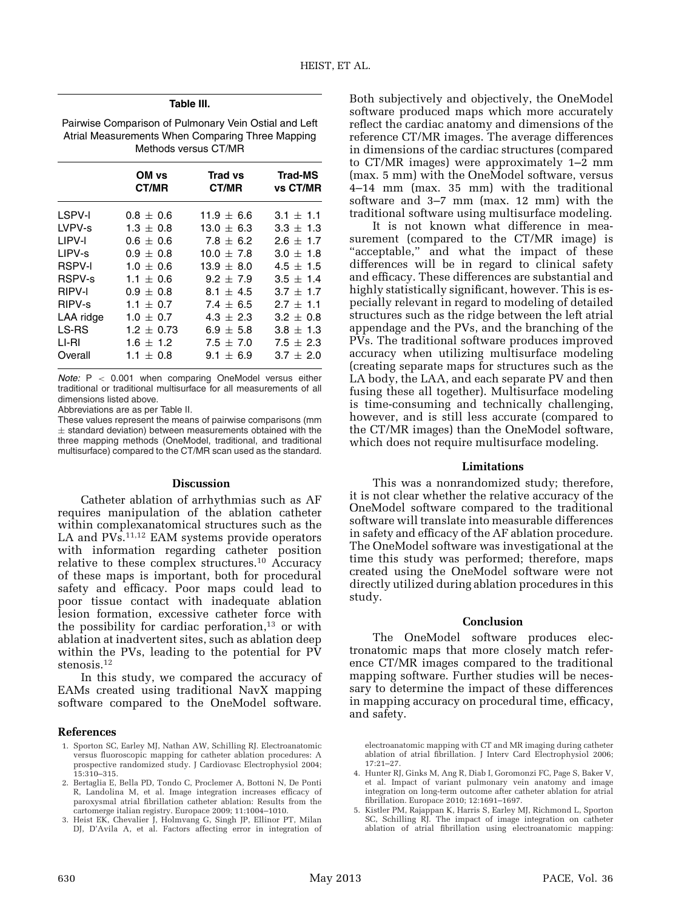#### **Table III.**

Pairwise Comparison of Pulmonary Vein Ostial and Left Atrial Measurements When Comparing Three Mapping Methods versus CT/MR

|               | OM vs<br><b>CT/MR</b> | Trad vs<br>CT/MR | <b>Trad-MS</b><br>vs CT/MR |
|---------------|-----------------------|------------------|----------------------------|
| LSPV-I        | $0.8 \pm 0.6$         | $11.9 \pm 6.6$   | $3.1 \pm 1.1$              |
| LVPV-s        | $1.3 \pm 0.8$         | $13.0 \pm 6.3$   | $3.3 \pm 1.3$              |
| LIPV-I        | $0.6 \pm 0.6$         | $7.8 \pm 6.2$    | $2.6 \pm 1.7$              |
| LIPV-s        | $0.9 \pm 0.8$         | $10.0 \pm 7.8$   | $3.0 \pm 1.8$              |
| <b>RSPV-I</b> | $1.0 \pm 0.6$         | $13.9 \pm 8.0$   | $4.5 \pm 1.5$              |
| <b>RSPV-s</b> | $1.1 \pm 0.6$         | $9.2 \pm 7.9$    | $3.5 + 1.4$                |
| RIPV-I        | $0.9 + 0.8$           | $8.1 + 4.5$      | $3.7 + 1.7$                |
| RIPV-s        | $1.1 \pm 0.7$         | $7.4 \pm 6.5$    | $2.7 \pm 1.1$              |
| LAA ridge     | $1.0 \pm 0.7$         | $4.3 \pm 2.3$    | $3.2 \pm 0.8$              |
| LS-RS         | $1.2 \pm 0.73$        | $6.9 \pm 5.8$    | $3.8 \pm 1.3$              |
| LI-RI         | $1.6 \pm 1.2$         | $7.5 \pm 7.0$    | $7.5 \pm 2.3$              |
| Overall       | $1.1 + 0.8$           | $9.1 + 6.9$      | $3.7 + 2.0$                |

Note: P < 0.001 when comparing OneModel versus either traditional or traditional multisurface for all measurements of all dimensions listed above.

Abbreviations are as per Table II.

These values represent the means of pairwise comparisons (mm  $\pm$  standard deviation) between measurements obtained with the three mapping methods (OneModel, traditional, and traditional multisurface) compared to the CT/MR scan used as the standard.

#### **Discussion**

Catheter ablation of arrhythmias such as AF requires manipulation of the ablation catheter within complexanatomical structures such as the LA and PVs.<sup>11,12</sup> EAM systems provide operators with information regarding catheter position relative to these complex structures.<sup>10</sup> Accuracy of these maps is important, both for procedural safety and efficacy. Poor maps could lead to poor tissue contact with inadequate ablation lesion formation, excessive catheter force with the possibility for cardiac perforation,  $13$  or with ablation at inadvertent sites, such as ablation deep within the PVs, leading to the potential for PV stenosis.<sup>12</sup>

In this study, we compared the accuracy of EAMs created using traditional NavX mapping software compared to the OneModel software.

#### **References**

- 1. Sporton SC, Earley MJ, Nathan AW, Schilling RJ. Electroanatomic versus fluoroscopic mapping for catheter ablation procedures: A prospective randomized study. J Cardiovasc Electrophysiol 2004; 15:310–315.
- 2. Bertaglia E, Bella PD, Tondo C, Proclemer A, Bottoni N, De Ponti R, Landolina M, et al. Image integration increases efficacy of paroxysmal atrial fibrillation catheter ablation: Results from the cartomerge italian registry. Europace 2009; 11:1004–1010.
- 3. Heist EK, Chevalier J, Holmvang G, Singh JP, Ellinor PT, Milan DJ, D'Avila A, et al. Factors affecting error in integration of

Both subjectively and objectively, the OneModel software produced maps which more accurately reflect the cardiac anatomy and dimensions of the reference CT/MR images. The average differences in dimensions of the cardiac structures (compared to CT/MR images) were approximately 1–2 mm (max. 5 mm) with the OneModel software, versus 4–14 mm (max. 35 mm) with the traditional software and 3–7 mm (max. 12 mm) with the traditional software using multisurface modeling.

It is not known what difference in measurement (compared to the CT/MR image) is "acceptable," and what the impact of these differences will be in regard to clinical safety and efficacy. These differences are substantial and highly statistically significant, however. This is especially relevant in regard to modeling of detailed structures such as the ridge between the left atrial appendage and the PVs, and the branching of the PVs. The traditional software produces improved accuracy when utilizing multisurface modeling (creating separate maps for structures such as the LA body, the LAA, and each separate PV and then fusing these all together). Multisurface modeling is time-consuming and technically challenging, however, and is still less accurate (compared to the CT/MR images) than the OneModel software, which does not require multisurface modeling.

#### **Limitations**

This was a nonrandomized study; therefore, it is not clear whether the relative accuracy of the OneModel software compared to the traditional software will translate into measurable differences in safety and efficacy of the AF ablation procedure. The OneModel software was investigational at the time this study was performed; therefore, maps created using the OneModel software were not directly utilized during ablation procedures in this study.

#### **Conclusion**

The OneModel software produces electronatomic maps that more closely match reference CT/MR images compared to the traditional mapping software. Further studies will be necessary to determine the impact of these differences in mapping accuracy on procedural time, efficacy, and safety.

electroanatomic mapping with CT and MR imaging during catheter ablation of atrial fibrillation. J Interv Card Electrophysiol 2006; 17:21–27.

- 4. Hunter RJ, Ginks M, Ang R, Diab I, Goromonzi FC, Page S, Baker V, et al. Impact of variant pulmonary vein anatomy and image integration on long-term outcome after catheter ablation for atrial fibrillation. Europace 2010; 12:1691–1697.
- 5. Kistler PM, Rajappan K, Harris S, Earley MJ, Richmond L, Sporton SC, Schilling RJ. The impact of image integration on catheter ablation of atrial fibrillation using electroanatomic mapping: